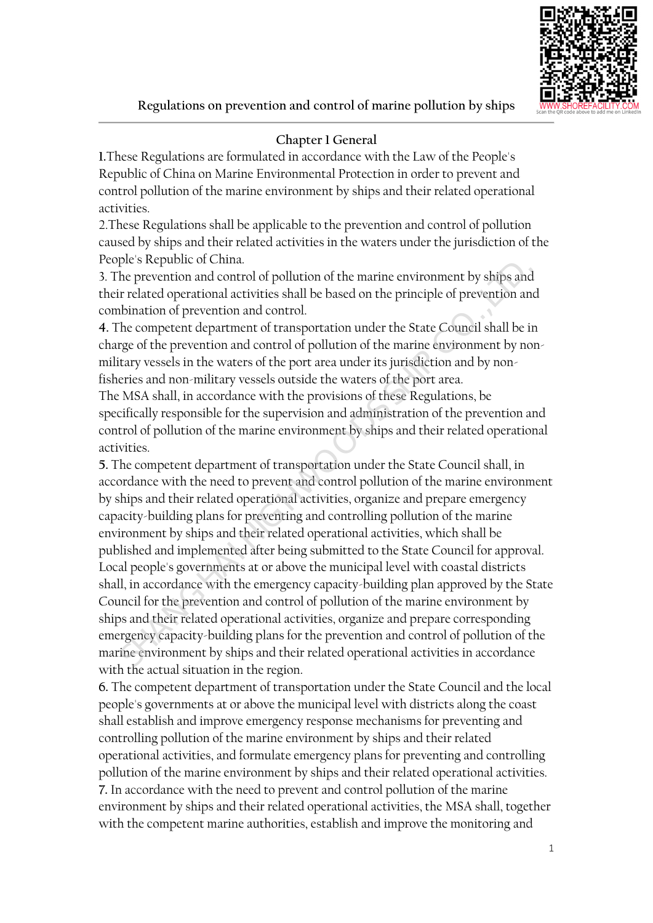

# **Chapter 1 General**

**1.**These Regulations are formulated in accordance with the Law of the People's Republic of China on Marine Environmental Protection in order to prevent and control pollution of the marine environment by ships and their related operational activities.

2.These Regulations shall be applicable to the prevention and control of pollution caused by ships and their related activities in the waters under the jurisdiction of the People's Republic of China.

3. The prevention and control of pollution of the marine environment by ships and their related operational activities shall be based on the principle of prevention and combination of prevention and control.

**4.** The competent department of transportation under the State Council shall be in charge of the prevention and control of pollution of the marine environment by nonmilitary vessels in the waters of the port area under its jurisdiction and by nonfisheries and non-military vessels outside the waters of the port area.

The MSA shall, in accordance with the provisions of these Regulations, be specifically responsible for the supervision and administration of the prevention and control of pollution of the marine environment by ships and their related operational activities.

**5.** The competent department of transportation under the State Council shall, in accordance with the need to prevent and control pollution of the marine environment by ships and their related operational activities, organize and prepare emergency capacity-building plans for preventing and controlling pollution of the marine environment by ships and their related operational activities, which shall be published and implemented after being submitted to the State Council for approval. Local people's governments at or above the municipal level with coastal districts shall, in accordance with the emergency capacity-building plan approved by the State Council for the prevention and control of pollution of the marine environment by ships and their related operational activities, organize and prepare corresponding emergency capacity-building plans for the prevention and control of pollution of the marine environment by ships and their related operational activities in accordance with the actual situation in the region. From the prevention and control of the marine environment by ships and<br>the prevention and control of pollution of the marine environment by ships and<br>related operational activities shall be based on the principle of preven

**6.** The competent department of transportation under the State Council and the local people's governments at or above the municipal level with districts along the coast shall establish and improve emergency response mechanisms for preventing and controlling pollution of the marine environment by ships and their related operational activities, and formulate emergency plans for preventing and controlling pollution of the marine environment by ships and their related operational activities. **7.** In accordance with the need to prevent and control pollution of the marine environment by ships and their related operational activities, the MSA shall, together with the competent marine authorities, establish and improve the monitoring and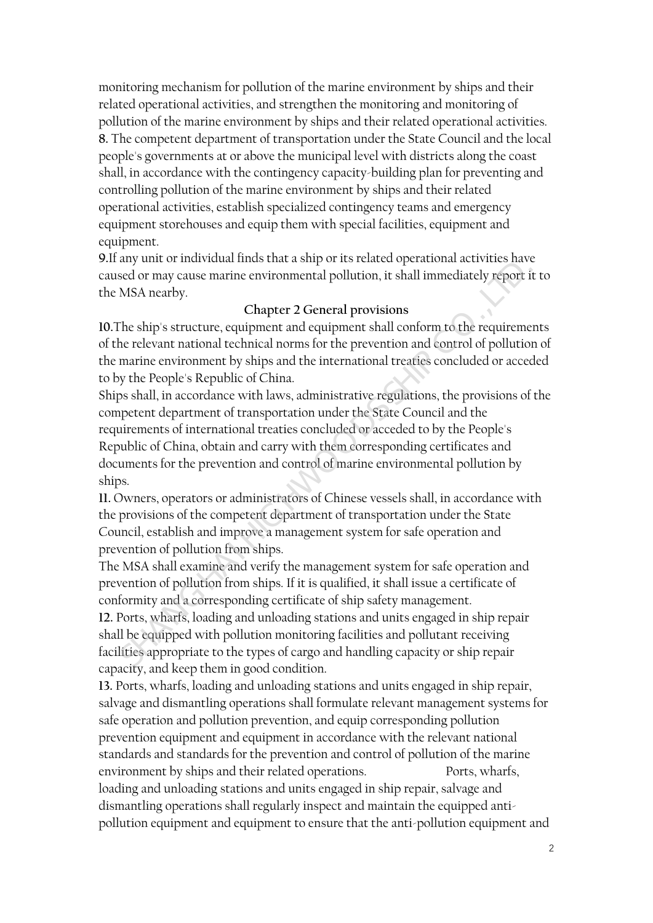monitoring mechanism for pollution of the marine environment by ships and their related operational activities, and strengthen the monitoring and monitoring of pollution of the marine environment by ships and their related operational activities. **8.** The competent department of transportation under the State Council and the local people's governments at or above the municipal level with districts along the coast shall, in accordance with the contingency capacity-building plan for preventing and controlling pollution of the marine environment by ships and their related operational activities, establish specialized contingency teams and emergency equipment storehouses and equip them with special facilities, equipment and equipment.

**9.**If any unit or individual finds that a ship or its related operational activities have caused or may cause marine environmental pollution, it shall immediately report it to the MSA nearby.

#### **Chapter 2 General provisions**

**10.**The ship's structure, equipment and equipment shall conform to the requirements of the relevant national technical norms for the prevention and control of pollution of the marine environment by ships and the international treaties concluded or acceded to by the People's Republic of China.

Ships shall, in accordance with laws, administrative regulations, the provisions of the competent department of transportation under the State Council and the requirements of international treaties concluded or acceded to by the People's Republic of China, obtain and carry with them corresponding certificates and documents for the prevention and control of marine environmental pollution by ships. Search of the state of the management system for sale operator of pair and the equipped with poperators and the equipped with SA nearby.<br>
Shapter 2 General provisions<br>
The ship's structure, equipment and equipment shall co

**11.** Owners, operators or administrators of Chinese vessels shall, in accordance with the provisions of the competent department of transportation under the State Council, establish and improve a management system for safe operation and prevention of pollution from ships.

The MSA shall examine and verify the management system for safe operation and prevention of pollution from ships. If it is qualified, it shall issue a certificate of conformity and a corresponding certificate of ship safety management.

**12.** Ports, wharfs, loading and unloading stations and units engaged in ship repair shall be equipped with pollution monitoring facilities and pollutant receiving facilities appropriate to the types of cargo and handling capacity or ship repair capacity, and keep them in good condition.

**13.** Ports, wharfs, loading and unloading stations and units engaged in ship repair, salvage and dismantling operations shall formulate relevant management systems for safe operation and pollution prevention, and equip corresponding pollution prevention equipment and equipment in accordance with the relevant national standards and standards for the prevention and control of pollution of the marine environment by ships and their related operations. Ports, wharfs, loading and unloading stations and units engaged in ship repair, salvage and dismantling operations shall regularly inspect and maintain the equipped antipollution equipment and equipment to ensure that the anti-pollution equipment and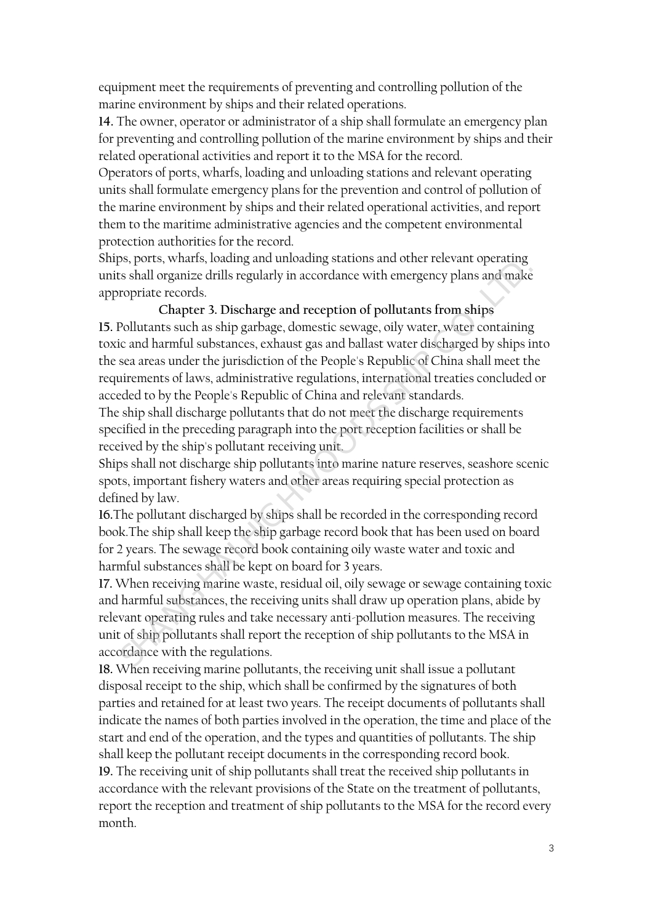equipment meet the requirements of preventing and controlling pollution of the marine environment by ships and their related operations.

**14.** The owner, operator or administrator of a ship shall formulate an emergency plan for preventing and controlling pollution of the marine environment by ships and their related operational activities and report it to the MSA for the record.

Operators of ports, wharfs, loading and unloading stations and relevant operating units shall formulate emergency plans for the prevention and control of pollution of the marine environment by ships and their related operational activities, and report them to the maritime administrative agencies and the competent environmental protection authorities for the record.

Ships, ports, wharfs, loading and unloading stations and other relevant operating units shall organize drills regularly in accordance with emergency plans and make appropriate records.

#### **Chapter 3. Discharge and reception of pollutants from ships**

**15.** Pollutants such as ship garbage, domestic sewage, oily water, water containing toxic and harmful substances, exhaust gas and ballast water discharged by ships into the sea areas under the jurisdiction of the People's Republic of China shall meet the requirements of laws, administrative regulations, international treaties concluded or acceded to by the People's Republic of China and relevant standards. is shall organize drills regularly in accordance with emergency plans and make<br>copriate records.<br>Chapter at Discharge and reception of pollutants from ships<br>collutants such as ship garbage, domestic sewage, oily water, wat

The ship shall discharge pollutants that do not meet the discharge requirements specified in the preceding paragraph into the port reception facilities or shall be received by the ship's pollutant receiving unit.

Ships shall not discharge ship pollutants into marine nature reserves, seashore scenic spots, important fishery waters and other areas requiring special protection as defined by law.

**16.**The pollutant discharged by ships shall be recorded in the corresponding record book.The ship shall keep the ship garbage record book that has been used on board for 2 years. The sewage record book containing oily waste water and toxic and harmful substances shall be kept on board for 3 years.

**17.** When receiving marine waste, residual oil, oily sewage or sewage containing toxic and harmful substances, the receiving units shall draw up operation plans, abide by relevant operating rules and take necessary anti-pollution measures. The receiving unit of ship pollutants shall report the reception of ship pollutants to the MSA in accordance with the regulations.

**18.** When receiving marine pollutants, the receiving unit shall issue a pollutant disposal receipt to the ship, which shall be confirmed by the signatures of both parties and retained for at least two years. The receipt documents of pollutants shall indicate the names of both parties involved in the operation, the time and place of the start and end of the operation, and the types and quantities of pollutants. The ship shall keep the pollutant receipt documents in the corresponding record book. **19.** The receiving unit of ship pollutants shall treat the received ship pollutants in accordance with the relevant provisions of the State on the treatment of pollutants, report the reception and treatment of ship pollutants to the MSA for the record every month.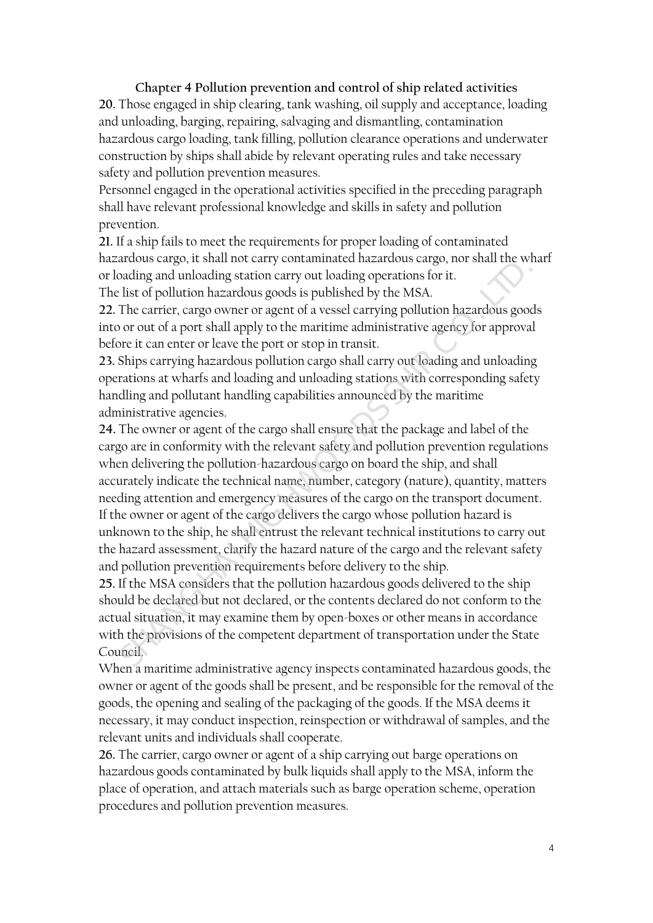**Chapter 4 Pollution prevention and control of ship related activities 20.** Those engaged in ship clearing, tank washing, oil supply and acceptance, loading and unloading, barging, repairing, salvaging and dismantling, contamination hazardous cargo loading, tank filling, pollution clearance operations and underwater construction by ships shall abide by relevant operating rules and take necessary safety and pollution prevention measures.

Personnel engaged in the operational activities specified in the preceding paragraph shall have relevant professional knowledge and skills in safety and pollution prevention.

**21.** If a ship fails to meet the requirements for proper loading of contaminated hazardous cargo, it shall not carry contaminated hazardous cargo, nor shall the wharf or loading and unloading station carry out loading operations for it.

The list of pollution hazardous goods is published by the MSA.

**22.** The carrier, cargo owner or agent of a vessel carrying pollution hazardous goods into or out of a port shall apply to the maritime administrative agency for approval before it can enter or leave the port or stop in transit.

**23.** Ships carrying hazardous pollution cargo shall carry out loading and unloading operations at wharfs and loading and unloading stations with corresponding safety handling and pollutant handling capabilities announced by the maritime administrative agencies.

**24.** The owner or agent of the cargo shall ensure that the package and label of the cargo are in conformity with the relevant safety and pollution prevention regulations when delivering the pollution-hazardous cargo on board the ship, and shall accurately indicate the technical name, number, category (nature), quantity, matters needing attention and emergency measures of the cargo on the transport document. If the owner or agent of the cargo delivers the cargo whose pollution hazard is unknown to the ship, he shall entrust the relevant technical institutions to carry out the hazard assessment, clarify the hazard nature of the cargo and the relevant safety and pollution prevention requirements before delivery to the ship. and the comparison of the cargo of the MSA considered and the provision of the provision of the provision of the MSA. The carrier, cargo owe out of a vessel carrying pollution hazardous goods or out of a prot of a verst of

**25.** If the MSA considers that the pollution hazardous goods delivered to the ship should be declared but not declared, or the contents declared do not conform to the actual situation, it may examine them by open-boxes or other means in accordance with the provisions of the competent department of transportation under the State Council.

When a maritime administrative agency inspects contaminated hazardous goods, the owner or agent of the goods shall be present, and be responsible for the removal of the goods, the opening and sealing of the packaging of the goods. If the MSA deems it necessary, it may conduct inspection, reinspection or withdrawal of samples, and the relevant units and individuals shall cooperate.

**26.** The carrier, cargo owner or agent of a ship carrying out barge operations on hazardous goods contaminated by bulk liquids shall apply to the MSA, inform the place of operation, and attach materials such as barge operation scheme, operation procedures and pollution prevention measures.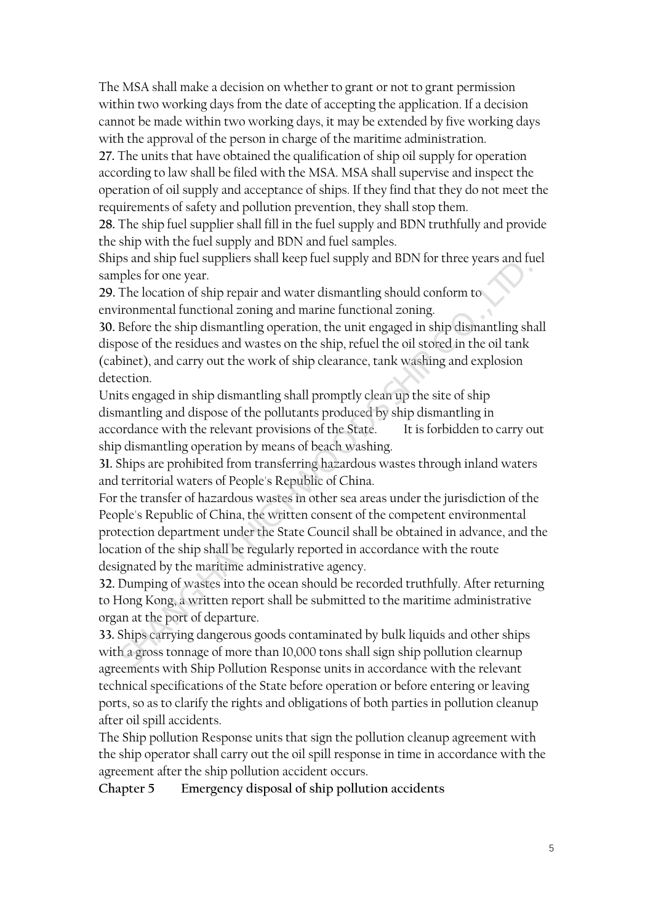The MSA shall make a decision on whether to grant or not to grant permission within two working days from the date of accepting the application. If a decision cannot be made within two working days, it may be extended by five working days with the approval of the person in charge of the maritime administration.

**27.** The units that have obtained the qualification of ship oil supply for operation according to law shall be filed with the MSA. MSA shall supervise and inspect the operation of oil supply and acceptance of ships. If they find that they do not meet the requirements of safety and pollution prevention, they shall stop them.

**28.** The ship fuel supplier shall fill in the fuel supply and BDN truthfully and provide the ship with the fuel supply and BDN and fuel samples.

Ships and ship fuel suppliers shall keep fuel supply and BDN for three years and fuel samples for one year.

**29.** The location of ship repair and water dismantling should conform to environmental functional zoning and marine functional zoning.

**30.** Before the ship dismantling operation, the unit engaged in ship dismantling shall dispose of the residues and wastes on the ship, refuel the oil stored in the oil tank (cabinet), and carry out the work of ship clearance, tank washing and explosion detection.

Units engaged in ship dismantling shall promptly clean up the site of ship dismantling and dispose of the pollutants produced by ship dismantling in accordance with the relevant provisions of the State. It is forbidden to carry out ship dismantling operation by means of beach washing.

**31.** Ships are prohibited from transferring hazardous wastes through inland waters and territorial waters of People's Republic of China.

For the transfer of hazardous wastes in other sea areas under the jurisdiction of the People's Republic of China, the written consent of the competent environmental protection department under the State Council shall be obtained in advance, and the location of the ship shall be regularly reported in accordance with the route designated by the maritime administrative agency. ples for one year.<br>The location of ship repair and water dismantling shall onform to<br>irommental functional zoning and marine functional zoning.<br>Hefore the ship dismantling operation, the unit rangaged in ship dismantling s

**32.** Dumping of wastes into the ocean should be recorded truthfully. After returning to Hong Kong, a written report shall be submitted to the maritime administrative organ at the port of departure.

**33.** Ships carrying dangerous goods contaminated by bulk liquids and other ships with a gross tonnage of more than 10,000 tons shall sign ship pollution clearnup agreements with Ship Pollution Response units in accordance with the relevant technical specifications of the State before operation or before entering or leaving ports, so as to clarify the rights and obligations of both parties in pollution cleanup after oil spill accidents.

The Ship pollution Response units that sign the pollution cleanup agreement with the ship operator shall carry out the oil spill response in time in accordance with the agreement after the ship pollution accident occurs.

**Chapter 5 Emergency disposal of ship pollution accidents**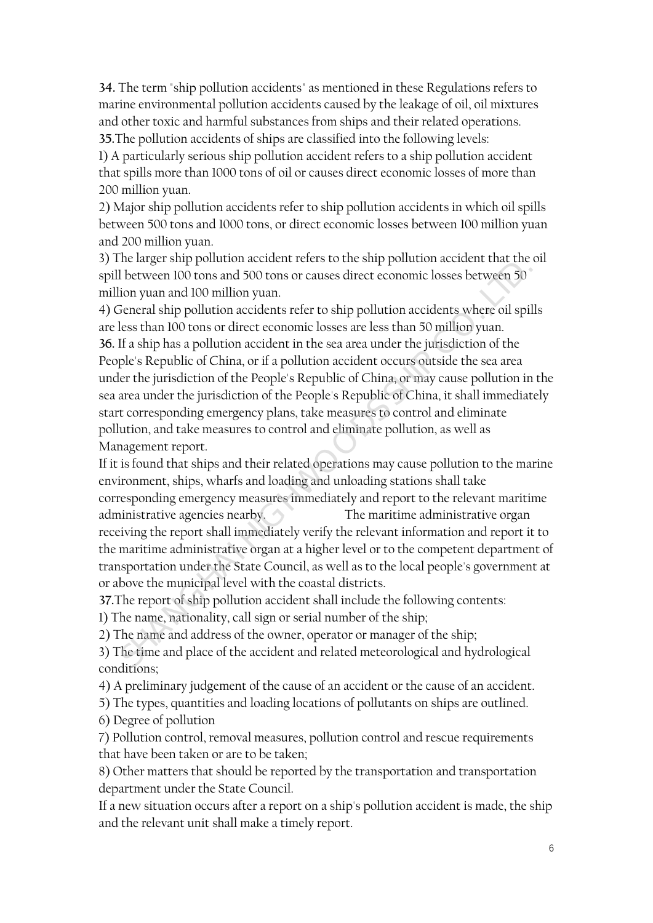**34.** The term "ship pollution accidents" as mentioned in these Regulations refers to marine environmental pollution accidents caused by the leakage of oil, oil mixtures and other toxic and harmful substances from ships and their related operations. **35.**The pollution accidents of ships are classified into the following levels:

1) A particularly serious ship pollution accident refers to a ship pollution accident that spills more than 1000 tons of oil or causes direct economic losses of more than 200 million yuan.

2) Major ship pollution accidents refer to ship pollution accidents in which oil spills between 500 tons and 1000 tons, or direct economic losses between 100 million yuan and 200 million yuan.

3) The larger ship pollution accident refers to the ship pollution accident that the oil spill between 100 tons and 500 tons or causes direct economic losses between 50 million yuan and 100 million yuan.

4) General ship pollution accidents refer to ship pollution accidents where oil spills are less than 100 tons or direct economic losses are less than 50 million yuan. **36.** If a ship has a pollution accident in the sea area under the jurisdiction of the People's Republic of China, or if a pollution accident occurs outside the sea area under the jurisdiction of the People's Republic of China, or may cause pollution in the sea area under the jurisdiction of the People's Republic of China, it shall immediately start corresponding emergency plans, take measures to control and eliminate pollution, and take measures to control and eliminate pollution, as well as Management report. If hetween 100 tons and 500 tons or causes direct economic losses between 30<br>ion yuan and 100 million yuan.<br>Seneral ship pollution accidents where oil spills<br>ion yuan and 100 million yuan.<br>It as ship pollution accidents re

If it is found that ships and their related operations may cause pollution to the marine environment, ships, wharfs and loading and unloading stations shall take corresponding emergency measures immediately and report to the relevant maritime administrative agencies nearby. The maritime administrative organ receiving the report shall immediately verify the relevant information and report it to the maritime administrative organ at a higher level or to the competent department of transportation under the State Council, as well as to the local people's government at or above the municipal level with the coastal districts.

**37.**The report of ship pollution accident shall include the following contents:

1) The name, nationality, call sign or serial number of the ship;

2) The name and address of the owner, operator or manager of the ship;

3) The time and place of the accident and related meteorological and hydrological conditions;

4) A preliminary judgement of the cause of an accident or the cause of an accident.

5) The types, quantities and loading locations of pollutants on ships are outlined.

6) Degree of pollution

7) Pollution control, removal measures, pollution control and rescue requirements that have been taken or are to be taken;

8) Other matters that should be reported by the transportation and transportation department under the State Council.

If a new situation occurs after a report on a ship's pollution accident is made, the ship and the relevant unit shall make a timely report.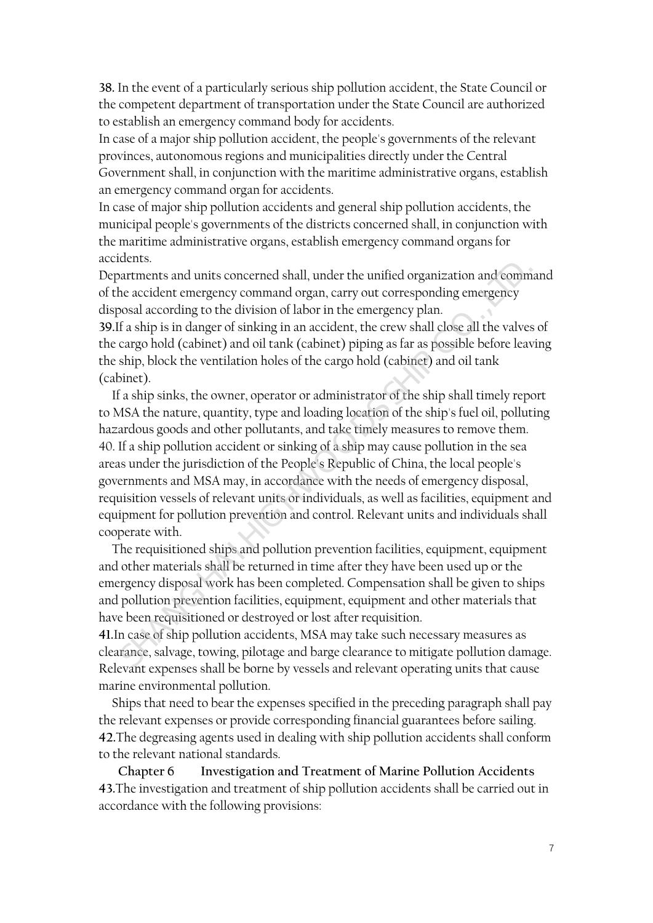**38.** In the event of a particularly serious ship pollution accident, the State Council or the competent department of transportation under the State Council are authorized to establish an emergency command body for accidents.

In case of a major ship pollution accident, the people's governments of the relevant provinces, autonomous regions and municipalities directly under the Central Government shall, in conjunction with the maritime administrative organs, establish an emergency command organ for accidents.

In case of major ship pollution accidents and general ship pollution accidents, the municipal people's governments of the districts concerned shall, in conjunction with the maritime administrative organs, establish emergency command organs for accidents.

Departments and units concerned shall, under the unified organization and command of the accident emergency command organ, carry out corresponding emergency disposal according to the division of labor in the emergency plan.

**39.**If a ship is in danger of sinking in an accident, the crew shall close all the valves of the cargo hold (cabinet) and oil tank (cabinet) piping as far as possible before leaving the ship, block the ventilation holes of the cargo hold (cabinet) and oil tank (cabinet).

If a ship sinks, the owner, operator or administrator of the ship shall timely report to MSA the nature, quantity, type and loading location of the ship's fuel oil, polluting hazardous goods and other pollutants, and take timely measures to remove them. 40. If a ship pollution accident or sinking of a ship may cause pollution in the sea areas under the jurisdiction of the People's Republic of China, the local people's governments and MSA may, in accordance with the needs of emergency disposal, requisition vessels of relevant units or individuals, as well as facilities, equipment and equipment for pollution prevention and control. Relevant units and individuals shall cooperate with. atternetts and units concerned shall, under the unified organization and comma<br>atternetts and units concerned shall, under the unified organization and comma<br>accochance accochange to the division of labor in the emergency

The requisitioned ships and pollution prevention facilities, equipment, equipment and other materials shall be returned in time after they have been used up or the emergency disposal work has been completed. Compensation shall be given to ships and pollution prevention facilities, equipment, equipment and other materials that have been requisitioned or destroyed or lost after requisition.

**41.**In case of ship pollution accidents, MSA may take such necessary measures as clearance, salvage, towing, pilotage and barge clearance to mitigate pollution damage. Relevant expenses shall be borne by vessels and relevant operating units that cause marine environmental pollution.

Ships that need to bear the expenses specified in the preceding paragraph shall pay the relevant expenses or provide corresponding financial guarantees before sailing. **42.**The degreasing agents used in dealing with ship pollution accidents shall conform to the relevant national standards.

**Chapter 6 Investigation and Treatment of Marine Pollution Accidents 43.**The investigation and treatment of ship pollution accidents shall be carried out in accordance with the following provisions: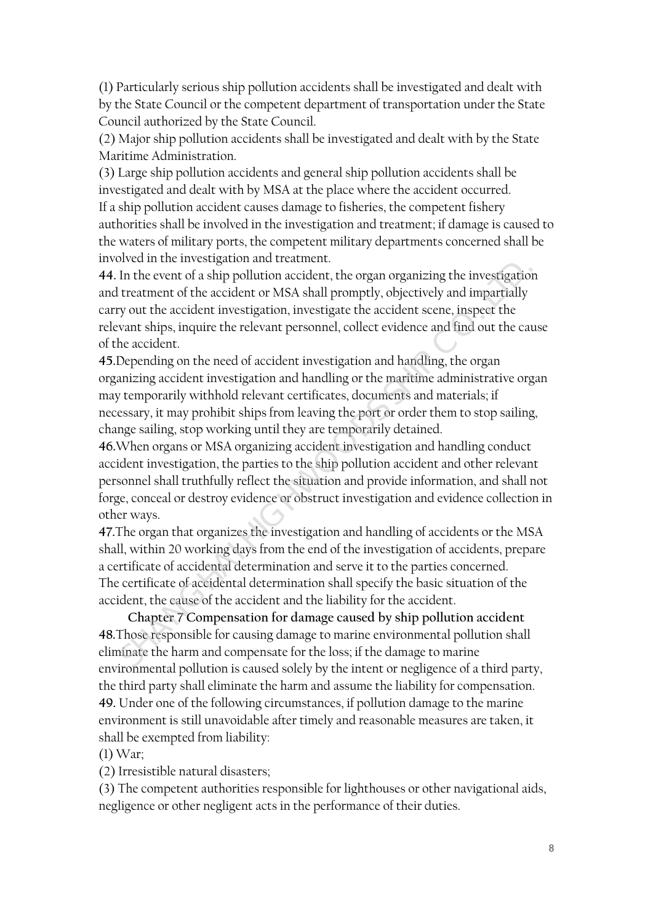(1) Particularly serious ship pollution accidents shall be investigated and dealt with by the State Council or the competent department of transportation under the State Council authorized by the State Council.

(2) Major ship pollution accidents shall be investigated and dealt with by the State Maritime Administration.

(3) Large ship pollution accidents and general ship pollution accidents shall be investigated and dealt with by MSA at the place where the accident occurred. If a ship pollution accident causes damage to fisheries, the competent fishery authorities shall be involved in the investigation and treatment; if damage is caused to the waters of military ports, the competent military departments concerned shall be involved in the investigation and treatment.

**44.** In the event of a ship pollution accident, the organ organizing the investigation and treatment of the accident or MSA shall promptly, objectively and impartially carry out the accident investigation, investigate the accident scene, inspect the relevant ships, inquire the relevant personnel, collect evidence and find out the cause of the accident. In the event of a ship pollution accident, the organ organizing the investigation treatment of the accident or MSA shall promptly, objectively and impartially yout the accident investigation, investigate the accident scene

**45.**Depending on the need of accident investigation and handling, the organ organizing accident investigation and handling or the maritime administrative organ may temporarily withhold relevant certificates, documents and materials; if necessary, it may prohibit ships from leaving the port or order them to stop sailing, change sailing, stop working until they are temporarily detained.

**46.**When organs or MSA organizing accident investigation and handling conduct accident investigation, the parties to the ship pollution accident and other relevant personnel shall truthfully reflect the situation and provide information, and shall not forge, conceal or destroy evidence or obstruct investigation and evidence collection in other ways.

**47.**The organ that organizes the investigation and handling of accidents or the MSA shall, within 20 working days from the end of the investigation of accidents, prepare a certificate of accidental determination and serve it to the parties concerned. The certificate of accidental determination shall specify the basic situation of the accident, the cause of the accident and the liability for the accident.

**Chapter 7 Compensation for damage caused by ship pollution accident 48.**Those responsible for causing damage to marine environmental pollution shall eliminate the harm and compensate for the loss; if the damage to marine environmental pollution is caused solely by the intent or negligence of a third party, the third party shall eliminate the harm and assume the liability for compensation. **49.** Under one of the following circumstances, if pollution damage to the marine environment is still unavoidable after timely and reasonable measures are taken, it shall be exempted from liability:

(1) War;

(2) Irresistible natural disasters;

(3) The competent authorities responsible for lighthouses or other navigational aids, negligence or other negligent acts in the performance of their duties.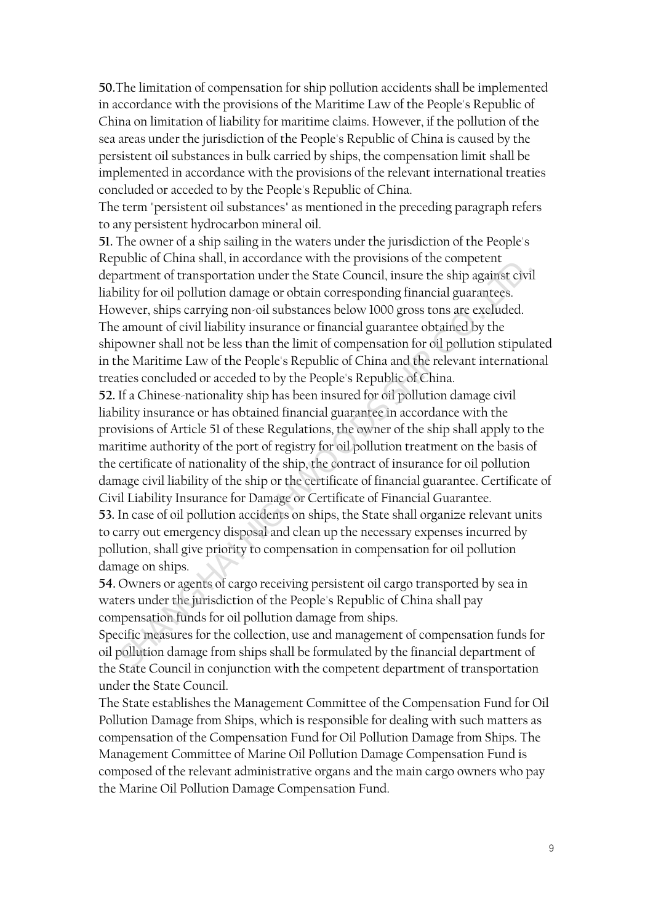**50.**The limitation of compensation for ship pollution accidents shall be implemented in accordance with the provisions of the Maritime Law of the People's Republic of China on limitation of liability for maritime claims. However, if the pollution of the sea areas under the jurisdiction of the People's Republic of China is caused by the persistent oil substances in bulk carried by ships, the compensation limit shall be implemented in accordance with the provisions of the relevant international treaties concluded or acceded to by the People's Republic of China.

The term "persistent oil substances" as mentioned in the preceding paragraph refers to any persistent hydrocarbon mineral oil.

**51.** The owner of a ship sailing in the waters under the jurisdiction of the People's Republic of China shall, in accordance with the provisions of the competent department of transportation under the State Council, insure the ship against civil liability for oil pollution damage or obtain corresponding financial guarantees. However, ships carrying non-oil substances below 1000 gross tons are excluded. The amount of civil liability insurance or financial guarantee obtained by the shipowner shall not be less than the limit of compensation for oil pollution stipulated in the Maritime Law of the People's Republic of China and the relevant international treaties concluded or acceded to by the People's Republic of China.

**52.** If a Chinese-nationality ship has been insured for oil pollution damage civil liability insurance or has obtained financial guarantee in accordance with the provisions of Article 51 of these Regulations, the owner of the ship shall apply to the maritime authority of the port of registry for oil pollution treatment on the basis of the certificate of nationality of the ship, the contract of insurance for oil pollution damage civil liability of the ship or the certificate of financial guarantee. Certificate of Civil Liability Insurance for Damage or Certificate of Financial Guarantee. **53.** In case of oil pollution accidents on ships, the State shall organize relevant units to carry out emergency disposal and clean up the necessary expenses incurred by pollution, shall give priority to compensation in compensation for oil pollution damage on ships. attement of transportation under the State Council, insure the ship against civil<br>dity for oil pollution damage or obtain corresponding financial guarantees.<br>wever, ships carrying non-oil substances below 1000 gross tons a

**54.** Owners or agents of cargo receiving persistent oil cargo transported by sea in waters under the jurisdiction of the People's Republic of China shall pay compensation funds for oil pollution damage from ships.

Specific measures for the collection, use and management of compensation funds for oil pollution damage from ships shall be formulated by the financial department of the State Council in conjunction with the competent department of transportation under the State Council.

The State establishes the Management Committee of the Compensation Fund for Oil Pollution Damage from Ships, which is responsible for dealing with such matters as compensation of the Compensation Fund for Oil Pollution Damage from Ships. The Management Committee of Marine Oil Pollution Damage Compensation Fund is composed of the relevant administrative organs and the main cargo owners who pay the Marine Oil Pollution Damage Compensation Fund.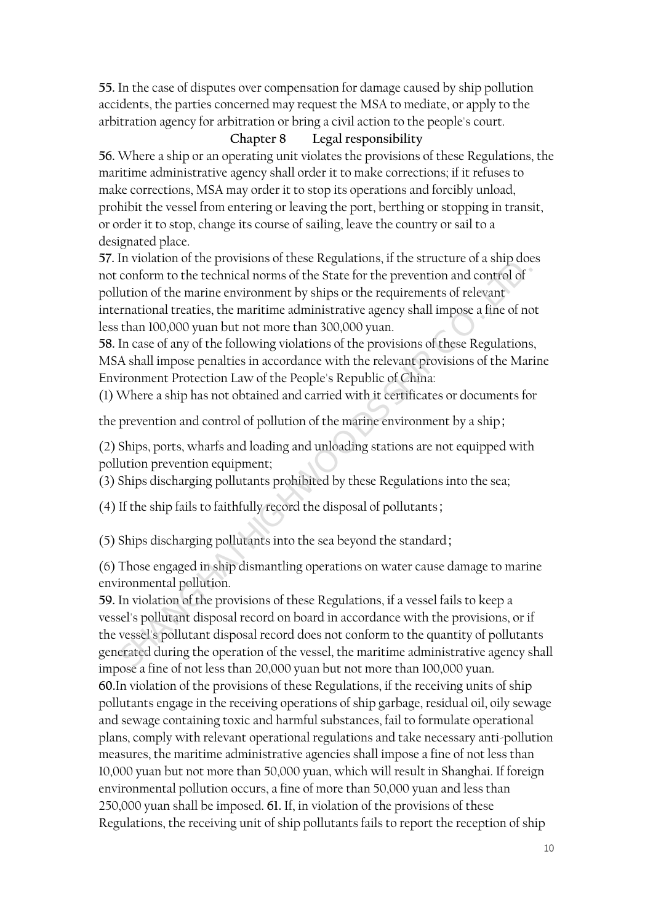**55.** In the case of disputes over compensation for damage caused by ship pollution accidents, the parties concerned may request the MSA to mediate, or apply to the arbitration agency for arbitration or bring a civil action to the people's court.

### **Chapter 8 Legal responsibility**

**56.** Where a ship or an operating unit violates the provisions of these Regulations, the maritime administrative agency shall order it to make corrections; if it refuses to make corrections, MSA may order it to stop its operations and forcibly unload, prohibit the vessel from entering or leaving the port, berthing or stopping in transit, or order it to stop, change its course of sailing, leave the country or sail to a designated place.

**57.** In violation of the provisions of these Regulations, if the structure of a ship does not conform to the technical norms of the State for the prevention and control of pollution of the marine environment by ships or the requirements of relevant international treaties, the maritime administrative agency shall impose a fine of not less than 100,000 yuan but not more than 300,000 yuan.

**58.** In case of any of the following violations of the provisions of these Regulations, MSA shall impose penalties in accordance with the relevant provisions of the Marine Environment Protection Law of the People's Republic of China:

(1) Where a ship has not obtained and carried with it certificates or documents for

the prevention and control of pollution of the marine environment by a ship;

(2) Ships, ports, wharfs and loading and unloading stations are not equipped with pollution prevention equipment;

(3) Ships discharging pollutants prohibited by these Regulations into the sea;

(4) If the ship fails to faithfully record the disposal of pollutants;

(5) Ships discharging pollutants into the sea beyond the standard;

(6) Those engaged in ship dismantling operations on water cause damage to marine environmental pollution.

**59.** In violation of the provisions of these Regulations, if a vessel fails to keep a vessel's pollutant disposal record on board in accordance with the provisions, or if the vessel's pollutant disposal record does not conform to the quantity of pollutants generated during the operation of the vessel, the maritime administrative agency shall impose a fine of not less than 20,000 yuan but not more than 100,000 yuan. **60.**In violation of the provisions of these Regulations, if the receiving units of ship pollutants engage in the receiving operations of ship garbage, residual oil, oily sewage and sewage containing toxic and harmful substances, fail to formulate operational plans, comply with relevant operational regulations and take necessary anti-pollution measures, the maritime administrative agencies shall impose a fine of not less than 10,000 yuan but not more than 50,000 yuan, which will result in Shanghai. If foreign environmental pollution occurs, a fine of more than 50,000 yuan and less than 250,000 yuan shall be imposed. **61.** If, in violation of the provisions of these Regulations, the receiving unit of ship pollutants fails to report the reception of ship conform to the technical norms of the State for the prevention and control of<br>tution of the marine environment by ships or the requirements of relevant<br>tution of the marine environment by ships or the requirements of relev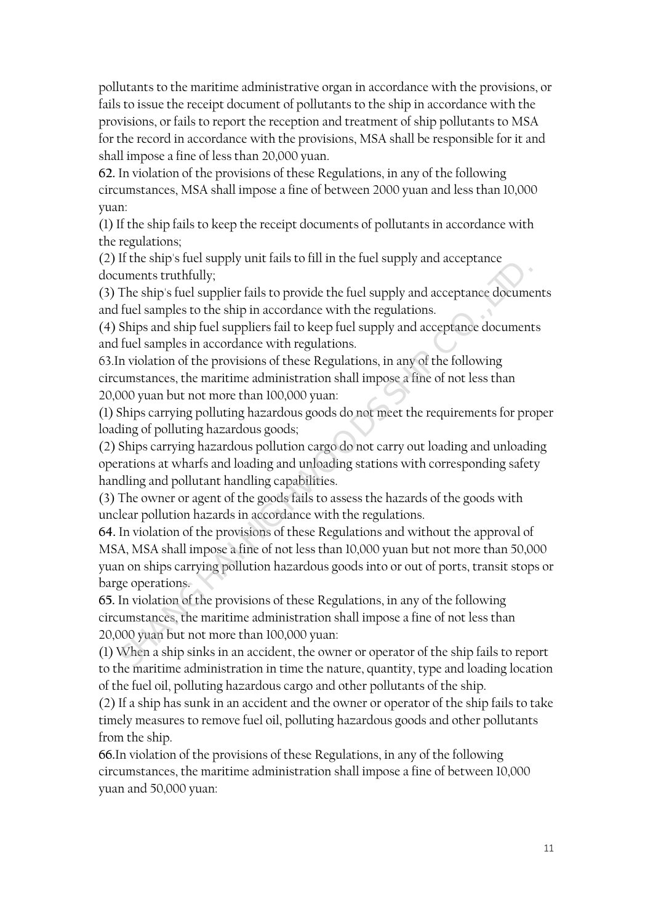pollutants to the maritime administrative organ in accordance with the provisions, or fails to issue the receipt document of pollutants to the ship in accordance with the provisions, or fails to report the reception and treatment of ship pollutants to MSA for the record in accordance with the provisions, MSA shall be responsible for it and shall impose a fine of less than 20,000 yuan.

**62.** In violation of the provisions of these Regulations, in any of the following circumstances, MSA shall impose a fine of between 2000 yuan and less than 10,000 yuan:

(1) If the ship fails to keep the receipt documents of pollutants in accordance with the regulations;

(2) If the ship's fuel supply unit fails to fill in the fuel supply and acceptance documents truthfully;

(3) The ship's fuel supplier fails to provide the fuel supply and acceptance documents and fuel samples to the ship in accordance with the regulations.

(4) Ships and ship fuel suppliers fail to keep fuel supply and acceptance documents and fuel samples in accordance with regulations.

63.In violation of the provisions of these Regulations, in any of the following circumstances, the maritime administration shall impose a fine of not less than 20,000 yuan but not more than 100,000 yuan:

(1) Ships carrying polluting hazardous goods do not meet the requirements for proper loading of polluting hazardous goods;

(2) Ships carrying hazardous pollution cargo do not carry out loading and unloading operations at wharfs and loading and unloading stations with corresponding safety handling and pollutant handling capabilities.

(3) The owner or agent of the goods fails to assess the hazards of the goods with unclear pollution hazards in accordance with the regulations.

**64.** In violation of the provisions of these Regulations and without the approval of MSA, MSA shall impose a fine of not less than 10,000 yuan but not more than 50,000 yuan on ships carrying pollution hazardous goods into or out of ports, transit stops or barge operations. uments truthfully;<br>
The ship's fuel supplier fails to provide the fuel supply and acceptance documer<br>
fuel samples to the ship in accordance with the regulations.<br>
fuel samples in accordance with regulations.<br>
Fuel samples

**65.** In violation of the provisions of these Regulations, in any of the following circumstances, the maritime administration shall impose a fine of not less than 20,000 yuan but not more than 100,000 yuan:

(1) When a ship sinks in an accident, the owner or operator of the ship fails to report to the maritime administration in time the nature, quantity, type and loading location of the fuel oil, polluting hazardous cargo and other pollutants of the ship.

(2) If a ship has sunk in an accident and the owner or operator of the ship fails to take timely measures to remove fuel oil, polluting hazardous goods and other pollutants from the ship.

**66.**In violation of the provisions of these Regulations, in any of the following circumstances, the maritime administration shall impose a fine of between 10,000 yuan and 50,000 yuan: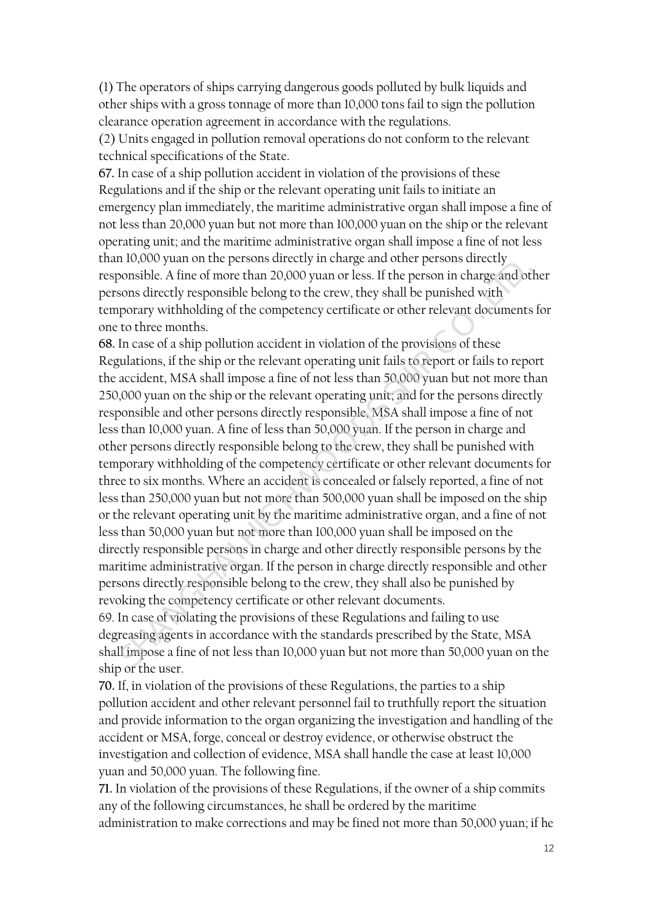(1) The operators of ships carrying dangerous goods polluted by bulk liquids and other ships with a gross tonnage of more than 10,000 tons fail to sign the pollution clearance operation agreement in accordance with the regulations.

(2) Units engaged in pollution removal operations do not conform to the relevant technical specifications of the State.

**67.** In case of a ship pollution accident in violation of the provisions of these Regulations and if the ship or the relevant operating unit fails to initiate an emergency plan immediately, the maritime administrative organ shall impose a fine of not less than 20,000 yuan but not more than 100,000 yuan on the ship or the relevant operating unit; and the maritime administrative organ shall impose a fine of not less than 10,000 yuan on the persons directly in charge and other persons directly responsible. A fine of more than 20,000 yuan or less. If the person in charge and other persons directly responsible belong to the crew, they shall be punished with temporary withholding of the competency certificate or other relevant documents for one to three months.

**68.** In case of a ship pollution accident in violation of the provisions of these Regulations, if the ship or the relevant operating unit fails to report or fails to report the accident, MSA shall impose a fine of not less than 50,000 yuan but not more than 250,000 yuan on the ship or the relevant operating unit; and for the persons directly responsible and other persons directly responsible, MSA shall impose a fine of not less than 10,000 yuan. A fine of less than 50,000 yuan. If the person in charge and other persons directly responsible belong to the crew, they shall be punished with temporary withholding of the competency certificate or other relevant documents for three to six months. Where an accident is concealed or falsely reported, a fine of not less than 250,000 yuan but not more than 500,000 yuan shall be imposed on the ship or the relevant operating unit by the maritime administrative organ, and a fine of not less than 50,000 yuan but not more than 100,000 yuan shall be imposed on the directly responsible persons in charge and other directly responsible persons by the maritime administrative organ. If the person in charge directly responsible and other persons directly responsible belong to the crew, they shall also be punished by revoking the competency certificate or other relevant documents. onsible. A fine of more than 20,000 yuan or less. If the person in charge and other shoms directly responsible belong to the crew, they shall be punished with some directly responsible belong to the crew, they shall be pun

69. In case of violating the provisions of these Regulations and failing to use degreasing agents in accordance with the standards prescribed by the State, MSA shall impose a fine of not less than 10,000 yuan but not more than 50,000 yuan on the ship or the user.

**70.** If, in violation of the provisions of these Regulations, the parties to a ship pollution accident and other relevant personnel fail to truthfully report the situation and provide information to the organ organizing the investigation and handling of the accident or MSA, forge, conceal or destroy evidence, or otherwise obstruct the investigation and collection of evidence, MSA shall handle the case at least 10,000 yuan and 50,000 yuan. The following fine.

**71.** In violation of the provisions of these Regulations, if the owner of a ship commits any of the following circumstances, he shall be ordered by the maritime administration to make corrections and may be fined not more than 50,000 yuan; if he